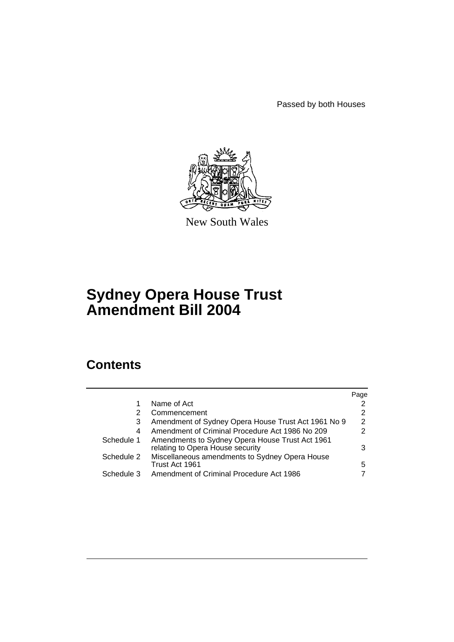Passed by both Houses



New South Wales

# **Sydney Opera House Trust Amendment Bill 2004**

# **Contents**

|            |                                                                                     | Page          |
|------------|-------------------------------------------------------------------------------------|---------------|
|            | Name of Act                                                                         |               |
| 2          | Commencement                                                                        | 2             |
| 3          | Amendment of Sydney Opera House Trust Act 1961 No 9                                 | 2             |
| 4          | Amendment of Criminal Procedure Act 1986 No 209                                     | $\mathcal{P}$ |
| Schedule 1 | Amendments to Sydney Opera House Trust Act 1961<br>relating to Opera House security | 3             |
| Schedule 2 | Miscellaneous amendments to Sydney Opera House<br>Trust Act 1961                    | 5             |
| Schedule 3 | Amendment of Criminal Procedure Act 1986                                            |               |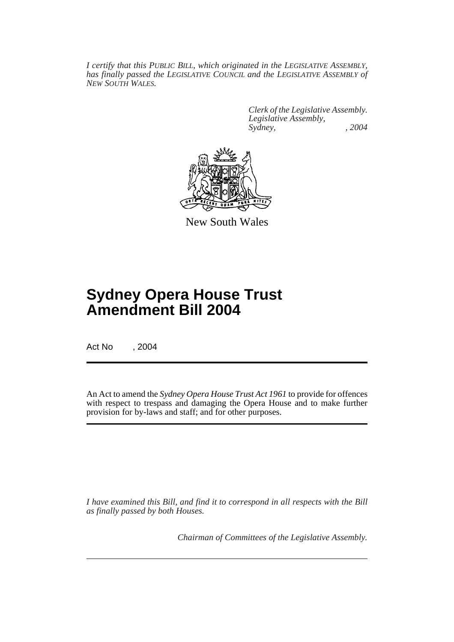*I certify that this PUBLIC BILL, which originated in the LEGISLATIVE ASSEMBLY, has finally passed the LEGISLATIVE COUNCIL and the LEGISLATIVE ASSEMBLY of NEW SOUTH WALES.*

> *Clerk of the Legislative Assembly. Legislative Assembly, Sydney, , 2004*



New South Wales

# **Sydney Opera House Trust Amendment Bill 2004**

Act No , 2004

An Act to amend the *Sydney Opera House Trust Act 1961* to provide for offences with respect to trespass and damaging the Opera House and to make further provision for by-laws and staff; and for other purposes.

*I have examined this Bill, and find it to correspond in all respects with the Bill as finally passed by both Houses.*

*Chairman of Committees of the Legislative Assembly.*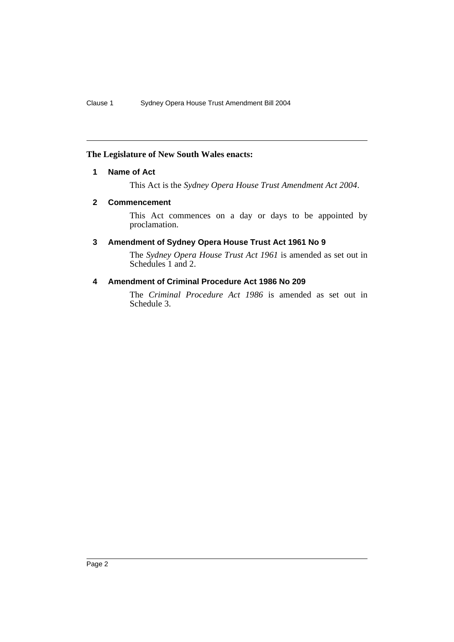# **The Legislature of New South Wales enacts:**

## **1 Name of Act**

This Act is the *Sydney Opera House Trust Amendment Act 2004*.

## **2 Commencement**

This Act commences on a day or days to be appointed by proclamation.

## **3 Amendment of Sydney Opera House Trust Act 1961 No 9**

The *Sydney Opera House Trust Act 1961* is amended as set out in Schedules 1 and 2.

# **4 Amendment of Criminal Procedure Act 1986 No 209**

The *Criminal Procedure Act 1986* is amended as set out in Schedule 3.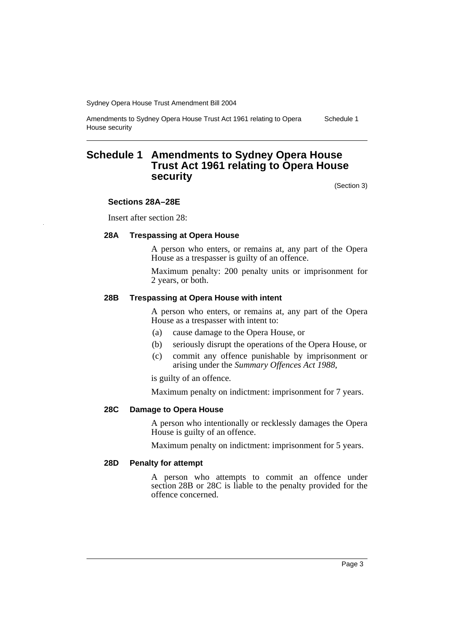Amendments to Sydney Opera House Trust Act 1961 relating to Opera House security Schedule 1

# **Schedule 1 Amendments to Sydney Opera House Trust Act 1961 relating to Opera House security**

(Section 3)

#### **Sections 28A–28E**

Insert after section 28:

#### **28A Trespassing at Opera House**

A person who enters, or remains at, any part of the Opera House as a trespasser is guilty of an offence.

Maximum penalty: 200 penalty units or imprisonment for 2 years, or both.

#### **28B Trespassing at Opera House with intent**

A person who enters, or remains at, any part of the Opera House as a trespasser with intent to:

- (a) cause damage to the Opera House, or
- (b) seriously disrupt the operations of the Opera House, or
- (c) commit any offence punishable by imprisonment or arising under the *Summary Offences Act 1988*,

is guilty of an offence.

Maximum penalty on indictment: imprisonment for 7 years.

## **28C Damage to Opera House**

A person who intentionally or recklessly damages the Opera House is guilty of an offence.

Maximum penalty on indictment: imprisonment for 5 years.

#### **28D Penalty for attempt**

A person who attempts to commit an offence under section 28B or 28C is liable to the penalty provided for the offence concerned.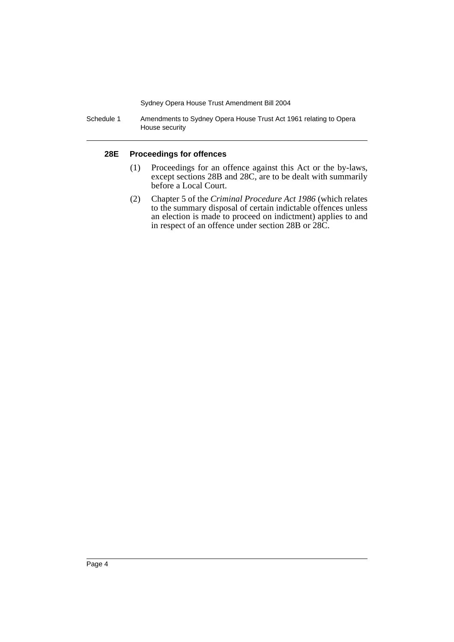Schedule 1 Amendments to Sydney Opera House Trust Act 1961 relating to Opera House security

## **28E Proceedings for offences**

- (1) Proceedings for an offence against this Act or the by-laws, except sections 28B and 28C, are to be dealt with summarily before a Local Court.
- (2) Chapter 5 of the *Criminal Procedure Act 1986* (which relates to the summary disposal of certain indictable offences unless an election is made to proceed on indictment) applies to and in respect of an offence under section 28B or 28C.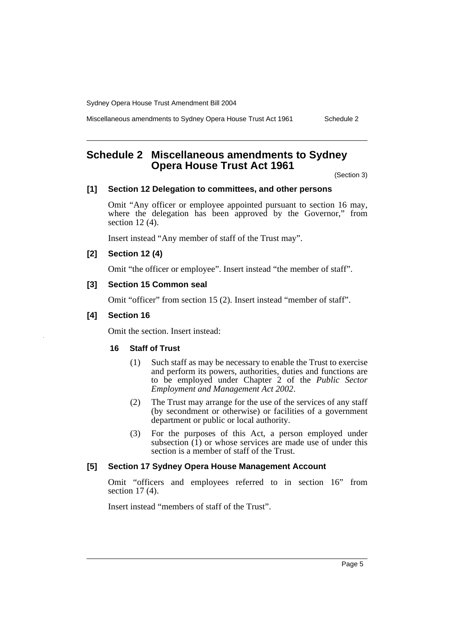Miscellaneous amendments to Sydney Opera House Trust Act 1961 Schedule 2

# **Schedule 2 Miscellaneous amendments to Sydney Opera House Trust Act 1961**

(Section 3)

#### **[1] Section 12 Delegation to committees, and other persons**

Omit "Any officer or employee appointed pursuant to section 16 may, where the delegation has been approved by the Governor," from section 12 (4).

Insert instead "Any member of staff of the Trust may".

# **[2] Section 12 (4)**

Omit "the officer or employee". Insert instead "the member of staff".

## **[3] Section 15 Common seal**

Omit "officer" from section 15 (2). Insert instead "member of staff".

#### **[4] Section 16**

Omit the section. Insert instead:

## **16 Staff of Trust**

- (1) Such staff as may be necessary to enable the Trust to exercise and perform its powers, authorities, duties and functions are to be employed under Chapter 2 of the *Public Sector Employment and Management Act 2002*.
- (2) The Trust may arrange for the use of the services of any staff (by secondment or otherwise) or facilities of a government department or public or local authority.
- (3) For the purposes of this Act, a person employed under subsection  $(1)$  or whose services are made use of under this section is a member of staff of the Trust.

## **[5] Section 17 Sydney Opera House Management Account**

Omit "officers and employees referred to in section 16" from section 17 (4).

Insert instead "members of staff of the Trust".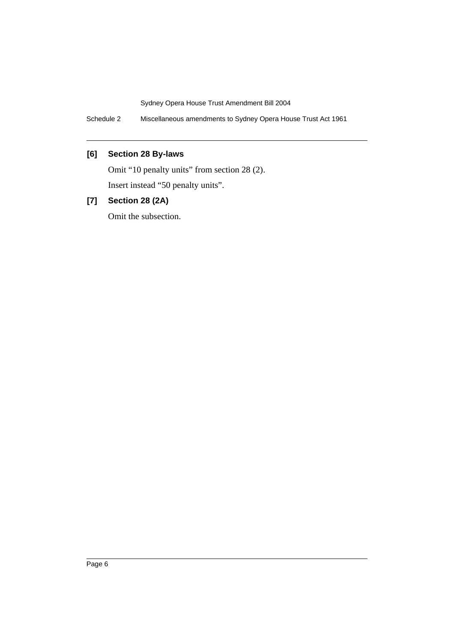Schedule 2 Miscellaneous amendments to Sydney Opera House Trust Act 1961

# **[6] Section 28 By-laws**

Omit "10 penalty units" from section 28 (2).

Insert instead "50 penalty units".

# **[7] Section 28 (2A)**

Omit the subsection.